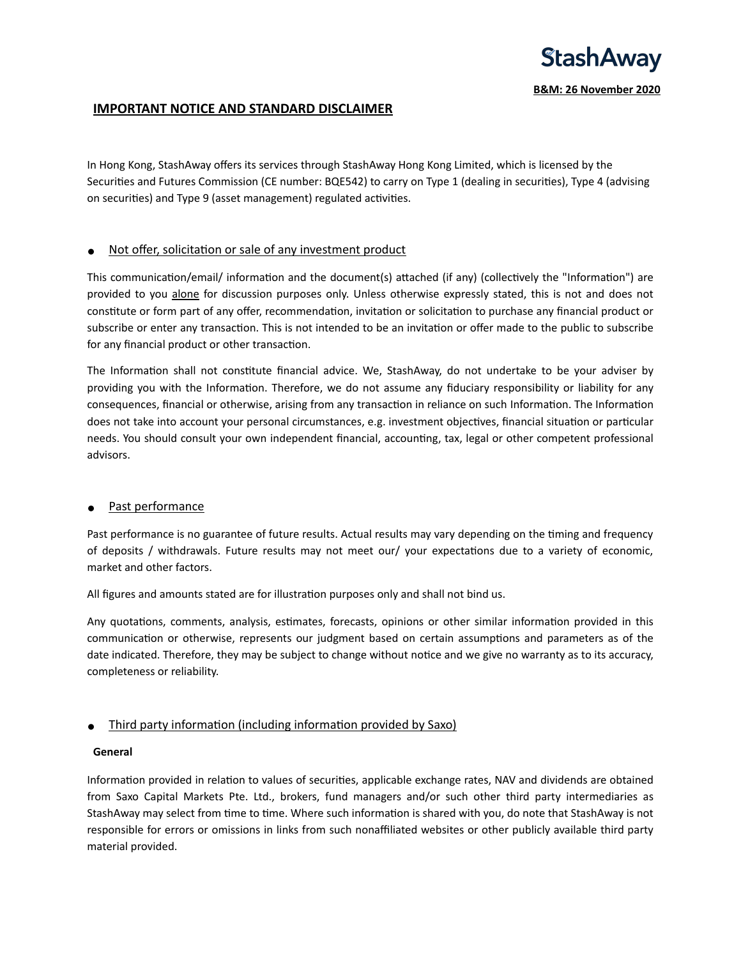

# **IMPORTANT NOTICE AND STANDARD DISCLAIMER**

In Hong Kong, StashAway offers its services through StashAway Hong Kong Limited, which is licensed by the Securities and Futures Commission (CE number: BQE542) to carry on Type 1 (dealing in securities), Type 4 (advising on securities) and Type 9 (asset management) regulated activities.

## ● Not offer, solicitation or sale of any investment product

This communication/email/ information and the document(s) attached (if any) (collectively the "Information") are provided to you alone for discussion purposes only. Unless otherwise expressly stated, this is not and does not constitute or form part of any offer, recommendation, invitation or solicitation to purchase any financial product or subscribe or enter any transaction. This is not intended to be an invitation or offer made to the public to subscribe for any financial product or other transaction.

The Information shall not constitute financial advice. We, StashAway, do not undertake to be your adviser by providing you with the Information. Therefore, we do not assume any fiduciary responsibility or liability for any consequences, financial or otherwise, arising from any transaction in reliance on such Information. The Information does not take into account your personal circumstances, e.g. investment objectives, financial situation or particular needs. You should consult your own independent financial, accounting, tax, legal or other competent professional advisors.

## ● Past performance

Past performance is no guarantee of future results. Actual results may vary depending on the timing and frequency of deposits / withdrawals. Future results may not meet our/ your expectations due to a variety of economic, market and other factors.

All figures and amounts stated are for illustration purposes only and shall not bind us.

Any quotations, comments, analysis, estimates, forecasts, opinions or other similar information provided in this communication or otherwise, represents our judgment based on certain assumptions and parameters as of the date indicated. Therefore, they may be subject to change without notice and we give no warranty as to its accuracy, completeness or reliability.

# • Third party information (including information provided by Saxo)

## **General**

Information provided in relation to values of securities, applicable exchange rates, NAV and dividends are obtained from Saxo Capital Markets Pte. Ltd., brokers, fund managers and/or such other third party intermediaries as StashAway may select from time to time. Where such information is shared with you, do note that StashAway is not responsible for errors or omissions in links from such nonaffiliated websites or other publicly available third party material provided.